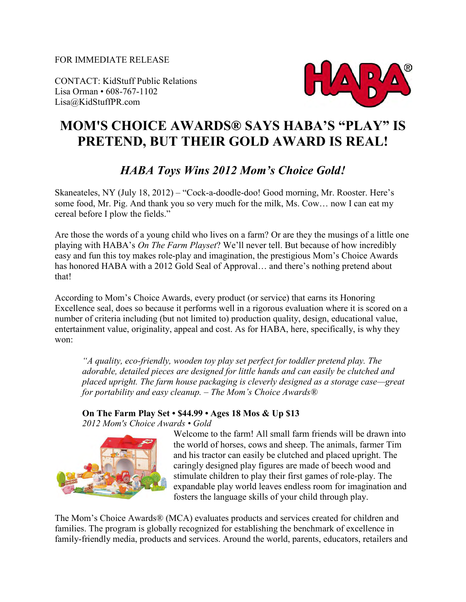FOR IMMEDIATE RELEASE

CONTACT: KidStuff Public Relations Lisa Orman • 608-767-1102 Lisa@KidStuffPR.com



## **MOM'S CHOICE AWARDS® SAYS HABA'S "PLAY" IS PRETEND, BUT THEIR GOLD AWARD IS REAL!**

## *HABA Toys Wins 2012 Mom's Choice Gold!*

Skaneateles, NY (July 18, 2012) – "Cock-a-doodle-doo! Good morning, Mr. Rooster. Here's some food, Mr. Pig. And thank you so very much for the milk, Ms. Cow… now I can eat my cereal before I plow the fields."

Are those the words of a young child who lives on a farm? Or are they the musings of a little one playing with HABA's *On The Farm Playset*? We'll never tell. But because of how incredibly easy and fun this toy makes role-play and imagination, the prestigious Mom's Choice Awards has honored HABA with a 2012 Gold Seal of Approval... and there's nothing pretend about that!

According to Mom's Choice Awards, every product (or service) that earns its Honoring Excellence seal, does so because it performs well in a rigorous evaluation where it is scored on a number of criteria including (but not limited to) production quality, design, educational value, entertainment value, originality, appeal and cost. As for HABA, here, specifically, is why they won:

*"A quality, eco-friendly, wooden toy play set perfect for toddler pretend play. The adorable, detailed pieces are designed for little hands and can easily be clutched and placed upright. The farm house packaging is cleverly designed as a storage case—great for portability and easy cleanup. – The Mom's Choice Awards®* 

## **On The Farm Play Set • \$44.99 • Ages 18 Mos & Up \$13**

*2012 Mom's Choice Awards • Gold*



Welcome to the farm! All small farm friends will be drawn into the world of horses, cows and sheep. The animals, farmer Tim and his tractor can easily be clutched and placed upright. The caringly designed play figures are made of beech wood and stimulate children to play their first games of role-play. The expandable play world leaves endless room for imagination and fosters the language skills of your child through play.

The Mom's Choice Awards® (MCA) evaluates products and services created for children and families. The program is globally recognized for establishing the benchmark of excellence in family-friendly media, products and services. Around the world, parents, educators, retailers and